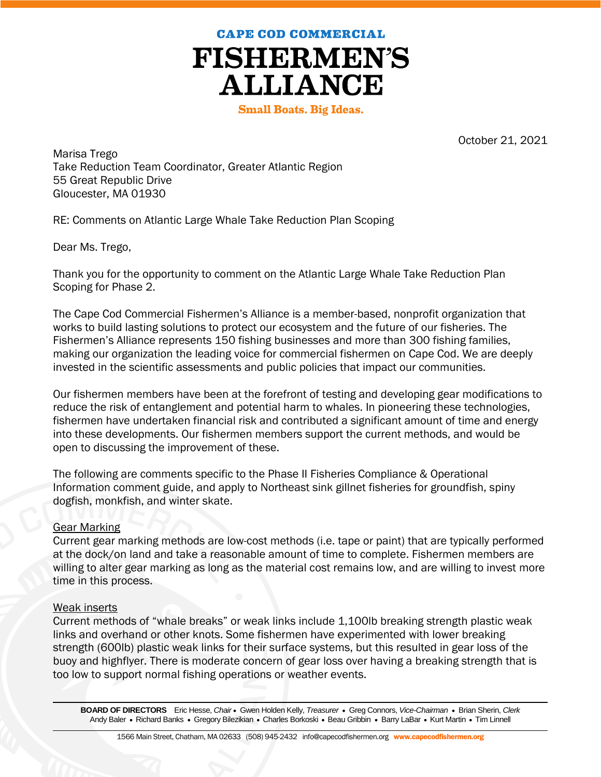**CAPE COD COMMERCIAL** 



**Small Boats. Big Ideas.** 

October 21, 2021

Marisa Trego Take Reduction Team Coordinator, Greater Atlantic Region 55 Great Republic Drive Gloucester, MA 01930

RE: Comments on Atlantic Large Whale Take Reduction Plan Scoping

Dear Ms. Trego,

Thank you for the opportunity to comment on the Atlantic Large Whale Take Reduction Plan Scoping for Phase 2.

The Cape Cod Commercial Fishermen's Alliance is a member-based, nonprofit organization that works to build lasting solutions to protect our ecosystem and the future of our fisheries. The Fishermen's Alliance represents 150 fishing businesses and more than 300 fishing families, making our organization the leading voice for commercial fishermen on Cape Cod. We are deeply invested in the scientific assessments and public policies that impact our communities.

Our fishermen members have been at the forefront of testing and developing gear modifications to reduce the risk of entanglement and potential harm to whales. In pioneering these technologies, fishermen have undertaken financial risk and contributed a significant amount of time and energy into these developments. Our fishermen members support the current methods, and would be open to discussing the improvement of these.

The following are comments specific to the Phase II Fisheries Compliance & Operational Information comment guide, and apply to Northeast sink gillnet fisheries for groundfish, spiny dogfish, monkfish, and winter skate.

# Gear Marking

Current gear marking methods are low-cost methods (i.e. tape or paint) that are typically performed at the dock/on land and take a reasonable amount of time to complete. Fishermen members are willing to alter gear marking as long as the material cost remains low, and are willing to invest more time in this process.

# Weak inserts

Current methods of "whale breaks" or weak links include 1,100lb breaking strength plastic weak links and overhand or other knots. Some fishermen have experimented with lower breaking strength (600lb) plastic weak links for their surface systems, but this resulted in gear loss of the buoy and highflyer. There is moderate concern of gear loss over having a breaking strength that is too low to support normal fishing operations or weather events.

**BOARD OF DIRECTORS** Eric Hesse, *Chair* Gwen Holden Kelly, *Treasurer* Greg Connors, *Vice-Chairman* Brian Sherin, *Clerk* Andy Baler • Richard Banks • Gregory Bilezikian • Charles Borkoski • Beau Gribbin • Barry LaBar • Kurt Martin • Tim Linnell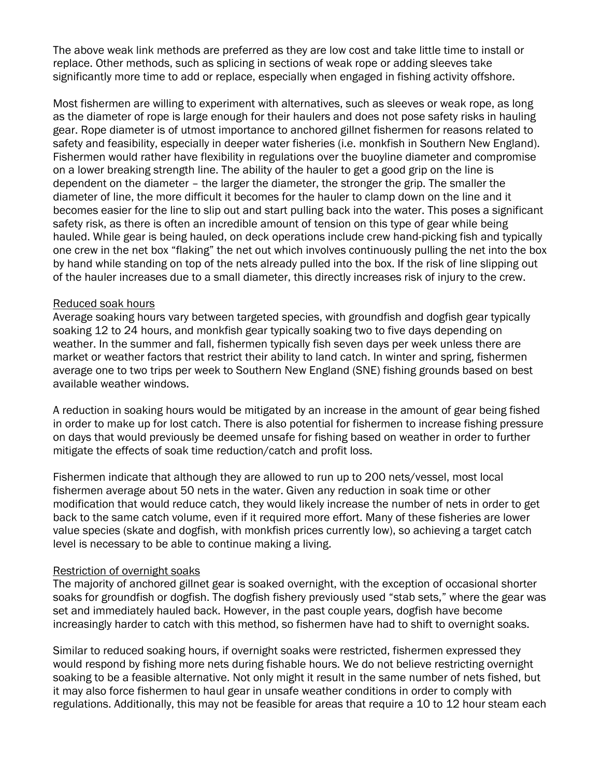The above weak link methods are preferred as they are low cost and take little time to install or replace. Other methods, such as splicing in sections of weak rope or adding sleeves take significantly more time to add or replace, especially when engaged in fishing activity offshore.

Most fishermen are willing to experiment with alternatives, such as sleeves or weak rope, as long as the diameter of rope is large enough for their haulers and does not pose safety risks in hauling gear. Rope diameter is of utmost importance to anchored gillnet fishermen for reasons related to safety and feasibility, especially in deeper water fisheries (i.e. monkfish in Southern New England). Fishermen would rather have flexibility in regulations over the buoyline diameter and compromise on a lower breaking strength line. The ability of the hauler to get a good grip on the line is dependent on the diameter – the larger the diameter, the stronger the grip. The smaller the diameter of line, the more difficult it becomes for the hauler to clamp down on the line and it becomes easier for the line to slip out and start pulling back into the water. This poses a significant safety risk, as there is often an incredible amount of tension on this type of gear while being hauled. While gear is being hauled, on deck operations include crew hand-picking fish and typically one crew in the net box "flaking" the net out which involves continuously pulling the net into the box by hand while standing on top of the nets already pulled into the box. If the risk of line slipping out of the hauler increases due to a small diameter, this directly increases risk of injury to the crew.

#### Reduced soak hours

Average soaking hours vary between targeted species, with groundfish and dogfish gear typically soaking 12 to 24 hours, and monkfish gear typically soaking two to five days depending on weather. In the summer and fall, fishermen typically fish seven days per week unless there are market or weather factors that restrict their ability to land catch. In winter and spring, fishermen average one to two trips per week to Southern New England (SNE) fishing grounds based on best available weather windows.

A reduction in soaking hours would be mitigated by an increase in the amount of gear being fished in order to make up for lost catch. There is also potential for fishermen to increase fishing pressure on days that would previously be deemed unsafe for fishing based on weather in order to further mitigate the effects of soak time reduction/catch and profit loss.

Fishermen indicate that although they are allowed to run up to 200 nets/vessel, most local fishermen average about 50 nets in the water. Given any reduction in soak time or other modification that would reduce catch, they would likely increase the number of nets in order to get back to the same catch volume, even if it required more effort. Many of these fisheries are lower value species (skate and dogfish, with monkfish prices currently low), so achieving a target catch level is necessary to be able to continue making a living.

### Restriction of overnight soaks

The majority of anchored gillnet gear is soaked overnight, with the exception of occasional shorter soaks for groundfish or dogfish. The dogfish fishery previously used "stab sets," where the gear was set and immediately hauled back. However, in the past couple years, dogfish have become increasingly harder to catch with this method, so fishermen have had to shift to overnight soaks.

Similar to reduced soaking hours, if overnight soaks were restricted, fishermen expressed they would respond by fishing more nets during fishable hours. We do not believe restricting overnight soaking to be a feasible alternative. Not only might it result in the same number of nets fished, but it may also force fishermen to haul gear in unsafe weather conditions in order to comply with regulations. Additionally, this may not be feasible for areas that require a 10 to 12 hour steam each